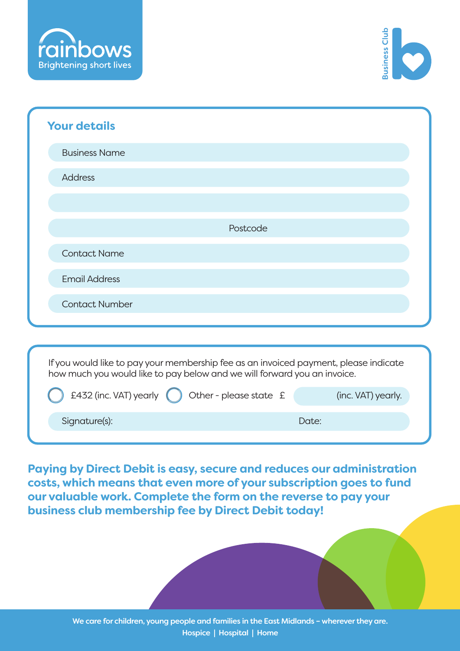



| <b>Your details</b>                                                                                                                                              |                        |                    |
|------------------------------------------------------------------------------------------------------------------------------------------------------------------|------------------------|--------------------|
| <b>Business Name</b>                                                                                                                                             |                        |                    |
| <b>Address</b>                                                                                                                                                   |                        |                    |
|                                                                                                                                                                  |                        |                    |
|                                                                                                                                                                  | Postcode               |                    |
| <b>Contact Name</b>                                                                                                                                              |                        |                    |
| <b>Email Address</b>                                                                                                                                             |                        |                    |
| <b>Contact Number</b>                                                                                                                                            |                        |                    |
|                                                                                                                                                                  |                        |                    |
| If you would like to pay your membership fee as an invoiced payment, please indicate<br>how much you would like to pay below and we will forward you an invoice. |                        |                    |
| £432 (inc. VAT) yearly                                                                                                                                           | Other - please state £ | (inc. VAT) yearly. |
| Signature(s):                                                                                                                                                    |                        | Date:              |

**Paying by Direct Debit is easy, secure and reduces our administration costs, which means that even more of your subscription goes to fund our valuable work. Complete the form on the reverse to pay your business club membership fee by Direct Debit today!**